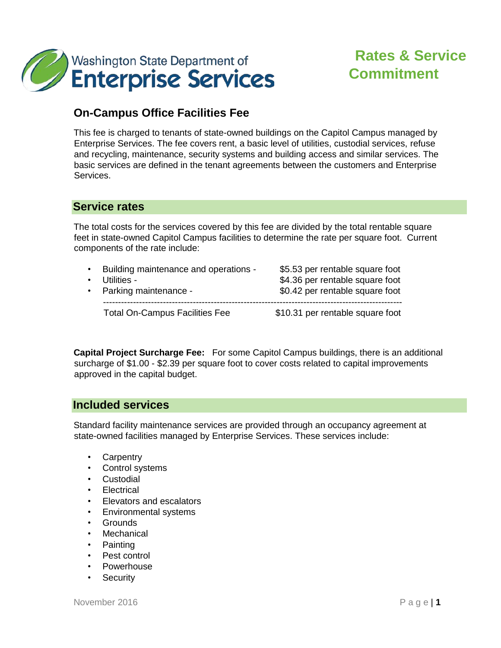

# **Rates & Service Commitment**

# **On-Campus Office Facilities Fee**

This fee is charged to tenants of state-owned buildings on the Capitol Campus managed by Enterprise Services. The fee covers rent, a basic level of utilities, custodial services, refuse and recycling, maintenance, security systems and building access and similar services. The basic services are defined in the tenant agreements between the customers and Enterprise Services.

### **Service rates**

The total costs for the services covered by this fee are divided by the total rentable square feet in state-owned Capitol Campus facilities to determine the rate per square foot. Current components of the rate include:

| $\bullet$ | Building maintenance and operations - | \$5.53 per rentable square foot  |
|-----------|---------------------------------------|----------------------------------|
|           | $\cdot$ Utilities -                   | \$4.36 per rentable square foot  |
| $\bullet$ | Parking maintenance -                 | \$0.42 per rentable square foot  |
|           | <b>Total On-Campus Facilities Fee</b> | \$10.31 per rentable square foot |

**Capital Project Surcharge Fee:** For some Capitol Campus buildings, there is an additional surcharge of \$1.00 - \$2.39 per square foot to cover costs related to capital improvements approved in the capital budget.

## **Included services**

Standard facility maintenance services are provided through an occupancy agreement at state-owned facilities managed by Enterprise Services. These services include:

- Carpentry
- Control systems
- Custodial
- Electrical
- Elevators and escalators
- Environmental systems
- Grounds
- Mechanical
- Painting
- Pest control
- **Powerhouse**
- Security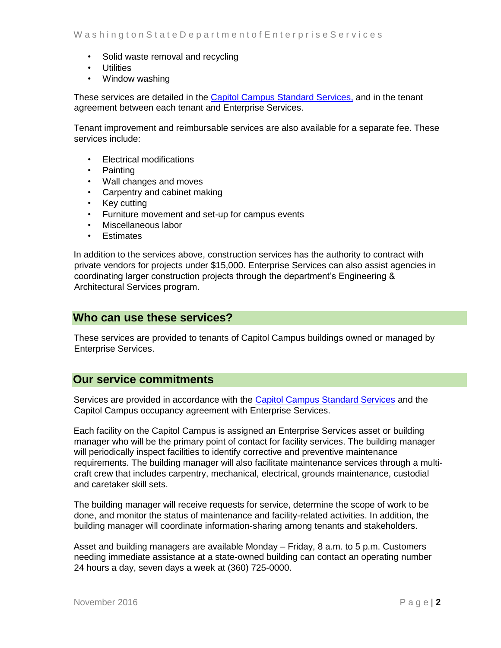- Solid waste removal and recycling
- Utilities
- Window washing

These services are detailed in the [Capitol Campus Standard Services,](http://www.des.wa.gov/SiteCollectionDocuments/Facilities/CapitolCampusStandardServices.pdf) and in the tenant agreement between each tenant and Enterprise Services.

Tenant improvement and reimbursable services are also available for a separate fee. These services include:

- Electrical modifications
- Painting
- Wall changes and moves
- Carpentry and cabinet making
- Key cutting
- Furniture movement and set-up for campus events
- Miscellaneous labor
- Estimates

In addition to the services above, construction services has the authority to contract with private vendors for projects under \$15,000. Enterprise Services can also assist agencies in coordinating larger construction projects through the department's Engineering & Architectural Services program.

#### **Who can use these services?**

These services are provided to tenants of Capitol Campus buildings owned or managed by Enterprise Services.

#### **Our service commitments**

Services are provided in accordance with the [Capitol Campus Standard Services](http://www.des.wa.gov/SiteCollectionDocuments/Facilities/CapitolCampusStandardServices.pdf) and the Capitol Campus occupancy agreement with Enterprise Services.

Each facility on the Capitol Campus is assigned an Enterprise Services asset or building manager who will be the primary point of contact for facility services. The building manager will periodically inspect facilities to identify corrective and preventive maintenance requirements. The building manager will also facilitate maintenance services through a multicraft crew that includes carpentry, mechanical, electrical, grounds maintenance, custodial and caretaker skill sets.

The building manager will receive requests for service, determine the scope of work to be done, and monitor the status of maintenance and facility-related activities. In addition, the building manager will coordinate information-sharing among tenants and stakeholders.

Asset and building managers are available Monday – Friday, 8 a.m. to 5 p.m. Customers needing immediate assistance at a state-owned building can contact an operating number 24 hours a day, seven days a week at (360) 725-0000.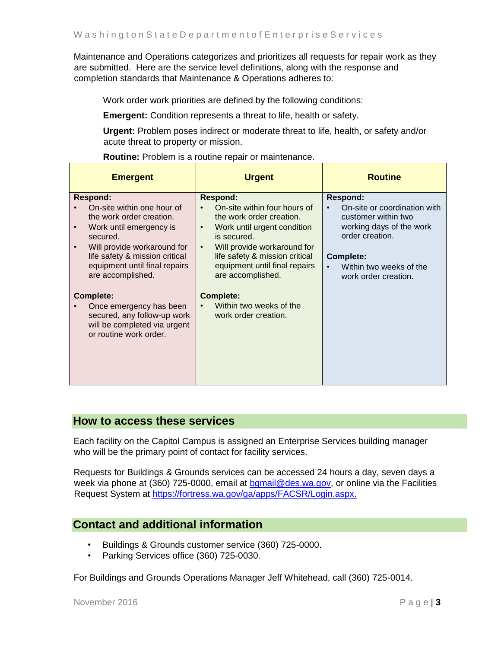Maintenance and Operations categorizes and prioritizes all requests for repair work as they are submitted. Here are the service level definitions, along with the response and completion standards that Maintenance & Operations adheres to:

Work order work priorities are defined by the following conditions:

**Emergent:** Condition represents a threat to life, health or safety.

**Urgent:** Problem poses indirect or moderate threat to life, health, or safety and/or acute threat to property or mission.

**Routine:** Problem is a routine repair or maintenance.

| <b>Emergent</b>                                                                                                                                                                                                                         | <b>Urgent</b>                                                                                                                                                                                                                                                              | <b>Routine</b>                                                                                                                                                                               |
|-----------------------------------------------------------------------------------------------------------------------------------------------------------------------------------------------------------------------------------------|----------------------------------------------------------------------------------------------------------------------------------------------------------------------------------------------------------------------------------------------------------------------------|----------------------------------------------------------------------------------------------------------------------------------------------------------------------------------------------|
| <b>Respond:</b><br>On-site within one hour of<br>the work order creation.<br>Work until emergency is<br>secured.<br>Will provide workaround for<br>life safety & mission critical<br>equipment until final repairs<br>are accomplished. | <b>Respond:</b><br>On-site within four hours of<br>the work order creation.<br>Work until urgent condition<br>$\bullet$<br>is secured.<br>Will provide workaround for<br>$\bullet$<br>life safety & mission critical<br>equipment until final repairs<br>are accomplished. | <b>Respond:</b><br>On-site or coordination with<br>customer within two<br>working days of the work<br>order creation.<br><b>Complete:</b><br>Within two weeks of the<br>work order creation. |
| Complete:<br>Once emergency has been<br>secured, any follow-up work<br>will be completed via urgent<br>or routine work order.                                                                                                           | <b>Complete:</b><br>Within two weeks of the<br>work order creation.                                                                                                                                                                                                        |                                                                                                                                                                                              |

#### **How to access these services**

Each facility on the Capitol Campus is assigned an Enterprise Services building manager who will be the primary point of contact for facility services.

Requests for Buildings & Grounds services can be accessed 24 hours a day, seven days a week via phone at (360) 725-0000, email at bgmail@des.wa.gov, or online via the Facilities Request System at [https://fortress.wa.gov/ga/apps/FACSR/Login.aspx.](https://fortress.wa.gov/ga/apps/FACSR/Login.aspx) 

## **Contact and additional information**

- Buildings & Grounds customer service (360) 725-0000.
- Parking Services office (360) 725-0030.

For Buildings and Grounds Operations Manager Jeff Whitehead, call (360) 725-0014.